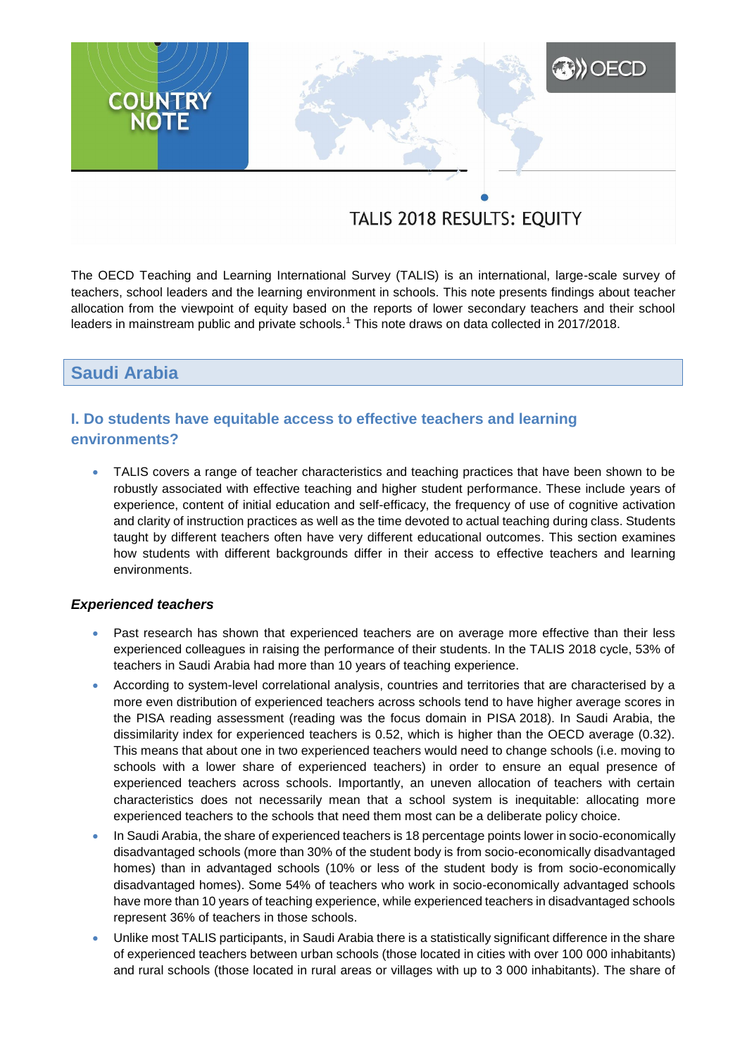# **A) OECD COUNTRY**<br>NOTE

# TALIS 2018 RESULTS: EQUITY

The OECD Teaching and Learning International Survey (TALIS) is an international, large-scale survey of teachers, school leaders and the learning environment in schools. This note presents findings about teacher allocation from the viewpoint of equity based on the reports of lower secondary teachers and their school leaders in mainstream public and private schools.<sup>1</sup> This note draws on data collected in 2017/2018.

# **Saudi Arabia**

# **I. Do students have equitable access to effective teachers and learning environments?**

 TALIS covers a range of teacher characteristics and teaching practices that have been shown to be robustly associated with effective teaching and higher student performance. These include years of experience, content of initial education and self-efficacy, the frequency of use of cognitive activation and clarity of instruction practices as well as the time devoted to actual teaching during class. Students taught by different teachers often have very different educational outcomes. This section examines how students with different backgrounds differ in their access to effective teachers and learning environments.

### *Experienced teachers*

- Past research has shown that experienced teachers are on average more effective than their less experienced colleagues in raising the performance of their students. In the TALIS 2018 cycle, 53% of teachers in Saudi Arabia had more than 10 years of teaching experience.
- According to system-level correlational analysis, countries and territories that are characterised by a more even distribution of experienced teachers across schools tend to have higher average scores in the PISA reading assessment (reading was the focus domain in PISA 2018). In Saudi Arabia, the dissimilarity index for experienced teachers is 0.52, which is higher than the OECD average (0.32). This means that about one in two experienced teachers would need to change schools (i.e. moving to schools with a lower share of experienced teachers) in order to ensure an equal presence of experienced teachers across schools. Importantly, an uneven allocation of teachers with certain characteristics does not necessarily mean that a school system is inequitable: allocating more experienced teachers to the schools that need them most can be a deliberate policy choice.
- In Saudi Arabia, the share of experienced teachers is 18 percentage points lower in socio-economically disadvantaged schools (more than 30% of the student body is from socio-economically disadvantaged homes) than in advantaged schools (10% or less of the student body is from socio-economically disadvantaged homes). Some 54% of teachers who work in socio-economically advantaged schools have more than 10 years of teaching experience, while experienced teachers in disadvantaged schools represent 36% of teachers in those schools.
- Unlike most TALIS participants, in Saudi Arabia there is a statistically significant difference in the share of experienced teachers between urban schools (those located in cities with over 100 000 inhabitants) and rural schools (those located in rural areas or villages with up to 3 000 inhabitants). The share of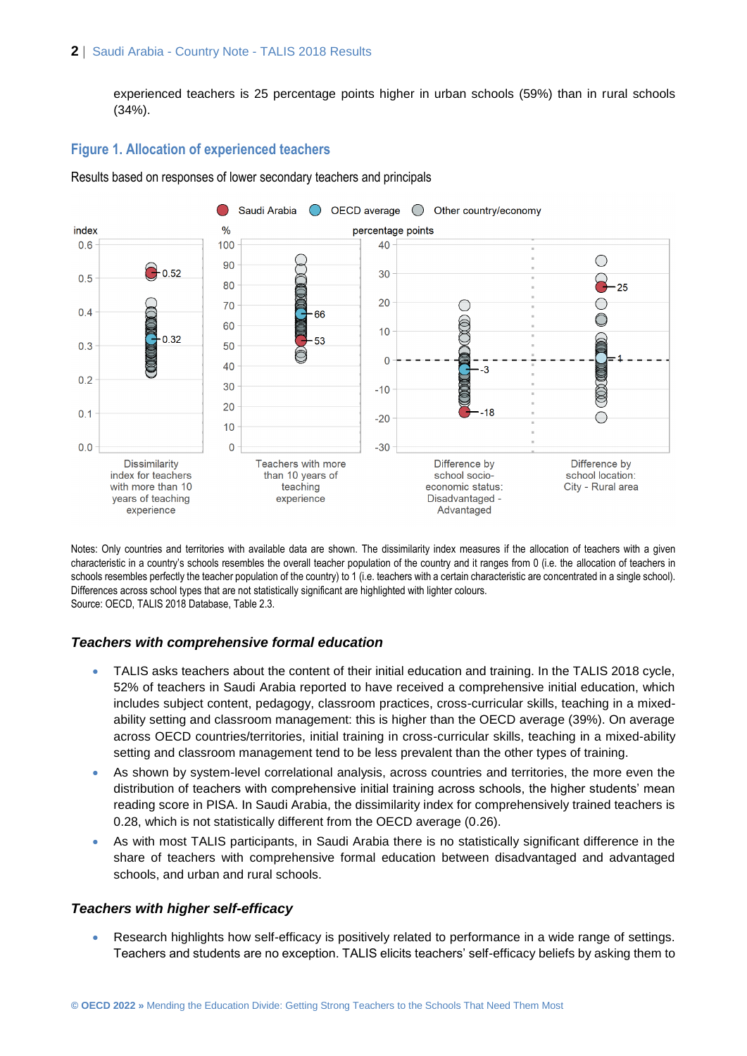### **2** | Saudi Arabia - Country Note - TALIS 2018 Results

experienced teachers is 25 percentage points higher in urban schools (59%) than in rural schools (34%).

### **Figure 1. Allocation of experienced teachers**

Results based on responses of lower secondary teachers and principals



Notes: Only countries and territories with available data are shown. The dissimilarity index measures if the allocation of teachers with a given characteristic in a country's schools resembles the overall teacher population of the country and it ranges from 0 (i.e. the allocation of teachers in schools resembles perfectly the teacher population of the country) to 1 (i.e. teachers with a certain characteristic are concentrated in a single school). Differences across school types that are not statistically significant are highlighted with lighter colours. Source: OECD, TALIS 2018 Database, Table 2.3.

### *Teachers with comprehensive formal education*

- TALIS asks teachers about the content of their initial education and training. In the TALIS 2018 cycle, 52% of teachers in Saudi Arabia reported to have received a comprehensive initial education, which includes subject content, pedagogy, classroom practices, cross-curricular skills, teaching in a mixedability setting and classroom management: this is higher than the OECD average (39%). On average across OECD countries/territories, initial training in cross-curricular skills, teaching in a mixed-ability setting and classroom management tend to be less prevalent than the other types of training.
- As shown by system-level correlational analysis, across countries and territories, the more even the distribution of teachers with comprehensive initial training across schools, the higher students' mean reading score in PISA. In Saudi Arabia, the dissimilarity index for comprehensively trained teachers is 0.28, which is not statistically different from the OECD average (0.26).
- As with most TALIS participants, in Saudi Arabia there is no statistically significant difference in the share of teachers with comprehensive formal education between disadvantaged and advantaged schools, and urban and rural schools.

### *Teachers with higher self-efficacy*

 Research highlights how self-efficacy is positively related to performance in a wide range of settings. Teachers and students are no exception. TALIS elicits teachers' self-efficacy beliefs by asking them to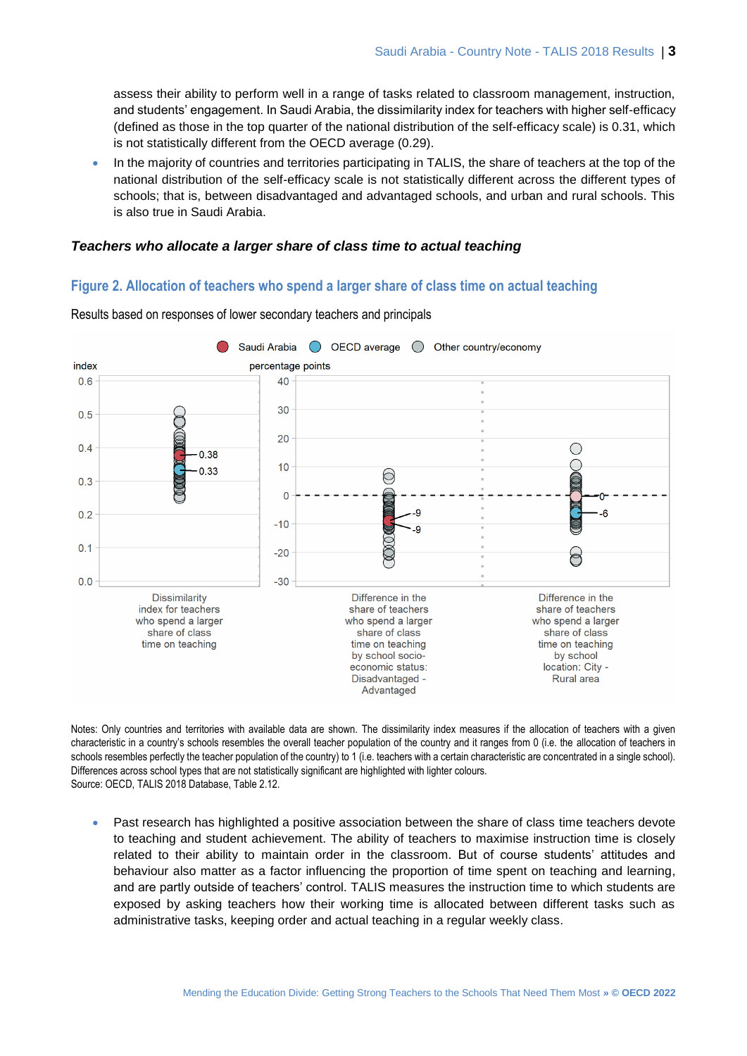assess their ability to perform well in a range of tasks related to classroom management, instruction, and students' engagement. In Saudi Arabia, the dissimilarity index for teachers with higher self-efficacy (defined as those in the top quarter of the national distribution of the self-efficacy scale) is 0.31, which is not statistically different from the OECD average (0.29).

• In the majority of countries and territories participating in TALIS, the share of teachers at the top of the national distribution of the self-efficacy scale is not statistically different across the different types of schools; that is, between disadvantaged and advantaged schools, and urban and rural schools. This is also true in Saudi Arabia.

### *Teachers who allocate a larger share of class time to actual teaching*

### **Figure 2. Allocation of teachers who spend a larger share of class time on actual teaching**



Results based on responses of lower secondary teachers and principals

Notes: Only countries and territories with available data are shown. The dissimilarity index measures if the allocation of teachers with a given characteristic in a country's schools resembles the overall teacher population of the country and it ranges from 0 (i.e. the allocation of teachers in schools resembles perfectly the teacher population of the country) to 1 (i.e. teachers with a certain characteristic are concentrated in a single school). Differences across school types that are not statistically significant are highlighted with lighter colours. Source: OECD, TALIS 2018 Database, Table 2.12.

 Past research has highlighted a positive association between the share of class time teachers devote to teaching and student achievement. The ability of teachers to maximise instruction time is closely related to their ability to maintain order in the classroom. But of course students' attitudes and behaviour also matter as a factor influencing the proportion of time spent on teaching and learning, and are partly outside of teachers' control. TALIS measures the instruction time to which students are exposed by asking teachers how their working time is allocated between different tasks such as administrative tasks, keeping order and actual teaching in a regular weekly class.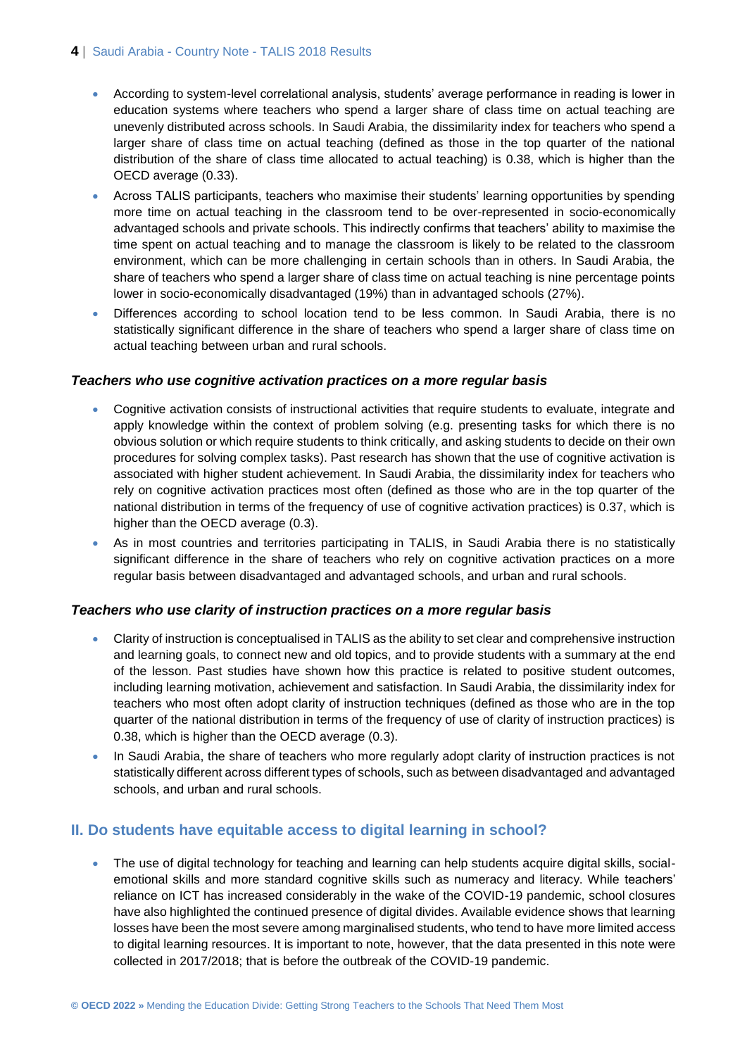### 4 | Saudi Arabia - Country Note - TALIS 2018 Results

- According to system-level correlational analysis, students' average performance in reading is lower in education systems where teachers who spend a larger share of class time on actual teaching are unevenly distributed across schools. In Saudi Arabia, the dissimilarity index for teachers who spend a larger share of class time on actual teaching (defined as those in the top quarter of the national distribution of the share of class time allocated to actual teaching) is 0.38, which is higher than the OECD average (0.33).
- Across TALIS participants, teachers who maximise their students' learning opportunities by spending more time on actual teaching in the classroom tend to be over-represented in socio-economically advantaged schools and private schools. This indirectly confirms that teachers' ability to maximise the time spent on actual teaching and to manage the classroom is likely to be related to the classroom environment, which can be more challenging in certain schools than in others. In Saudi Arabia, the share of teachers who spend a larger share of class time on actual teaching is nine percentage points lower in socio-economically disadvantaged (19%) than in advantaged schools (27%).
- Differences according to school location tend to be less common. In Saudi Arabia, there is no statistically significant difference in the share of teachers who spend a larger share of class time on actual teaching between urban and rural schools.

### *Teachers who use cognitive activation practices on a more regular basis*

- Cognitive activation consists of instructional activities that require students to evaluate, integrate and apply knowledge within the context of problem solving (e.g. presenting tasks for which there is no obvious solution or which require students to think critically, and asking students to decide on their own procedures for solving complex tasks). Past research has shown that the use of cognitive activation is associated with higher student achievement. In Saudi Arabia, the dissimilarity index for teachers who rely on cognitive activation practices most often (defined as those who are in the top quarter of the national distribution in terms of the frequency of use of cognitive activation practices) is 0.37, which is higher than the OECD average (0.3).
- As in most countries and territories participating in TALIS, in Saudi Arabia there is no statistically significant difference in the share of teachers who rely on cognitive activation practices on a more regular basis between disadvantaged and advantaged schools, and urban and rural schools.

### *Teachers who use clarity of instruction practices on a more regular basis*

- Clarity of instruction is conceptualised in TALIS as the ability to set clear and comprehensive instruction and learning goals, to connect new and old topics, and to provide students with a summary at the end of the lesson. Past studies have shown how this practice is related to positive student outcomes, including learning motivation, achievement and satisfaction. In Saudi Arabia, the dissimilarity index for teachers who most often adopt clarity of instruction techniques (defined as those who are in the top quarter of the national distribution in terms of the frequency of use of clarity of instruction practices) is 0.38, which is higher than the OECD average (0.3).
- In Saudi Arabia, the share of teachers who more regularly adopt clarity of instruction practices is not statistically different across different types of schools, such as between disadvantaged and advantaged schools, and urban and rural schools.

### **II. Do students have equitable access to digital learning in school?**

• The use of digital technology for teaching and learning can help students acquire digital skills, socialemotional skills and more standard cognitive skills such as numeracy and literacy. While teachers' reliance on ICT has increased considerably in the wake of the COVID-19 pandemic, school closures have also highlighted the continued presence of digital divides. Available evidence shows that learning losses have been the most severe among marginalised students, who tend to have more limited access to digital learning resources. It is important to note, however, that the data presented in this note were collected in 2017/2018; that is before the outbreak of the COVID-19 pandemic.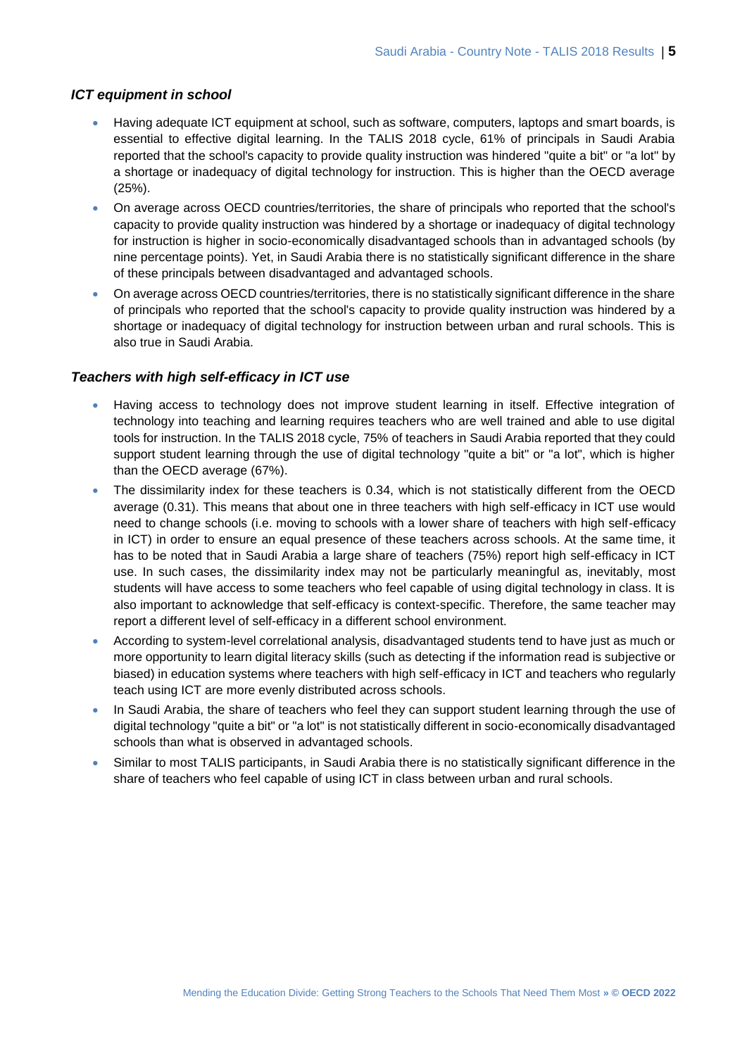### *ICT equipment in school*

- Having adequate ICT equipment at school, such as software, computers, laptops and smart boards, is essential to effective digital learning. In the TALIS 2018 cycle, 61% of principals in Saudi Arabia reported that the school's capacity to provide quality instruction was hindered "quite a bit" or "a lot" by a shortage or inadequacy of digital technology for instruction. This is higher than the OECD average (25%).
- On average across OECD countries/territories, the share of principals who reported that the school's capacity to provide quality instruction was hindered by a shortage or inadequacy of digital technology for instruction is higher in socio-economically disadvantaged schools than in advantaged schools (by nine percentage points). Yet, in Saudi Arabia there is no statistically significant difference in the share of these principals between disadvantaged and advantaged schools.
- On average across OECD countries/territories, there is no statistically significant difference in the share of principals who reported that the school's capacity to provide quality instruction was hindered by a shortage or inadequacy of digital technology for instruction between urban and rural schools. This is also true in Saudi Arabia.

### *Teachers with high self-efficacy in ICT use*

- Having access to technology does not improve student learning in itself. Effective integration of technology into teaching and learning requires teachers who are well trained and able to use digital tools for instruction. In the TALIS 2018 cycle, 75% of teachers in Saudi Arabia reported that they could support student learning through the use of digital technology "quite a bit" or "a lot", which is higher than the OECD average (67%).
- The dissimilarity index for these teachers is 0.34, which is not statistically different from the OECD average (0.31). This means that about one in three teachers with high self-efficacy in ICT use would need to change schools (i.e. moving to schools with a lower share of teachers with high self-efficacy in ICT) in order to ensure an equal presence of these teachers across schools. At the same time, it has to be noted that in Saudi Arabia a large share of teachers (75%) report high self-efficacy in ICT use. In such cases, the dissimilarity index may not be particularly meaningful as, inevitably, most students will have access to some teachers who feel capable of using digital technology in class. It is also important to acknowledge that self-efficacy is context-specific. Therefore, the same teacher may report a different level of self-efficacy in a different school environment.
- According to system-level correlational analysis, disadvantaged students tend to have just as much or more opportunity to learn digital literacy skills (such as detecting if the information read is subjective or biased) in education systems where teachers with high self-efficacy in ICT and teachers who regularly teach using ICT are more evenly distributed across schools.
- In Saudi Arabia, the share of teachers who feel they can support student learning through the use of digital technology "quite a bit" or "a lot" is not statistically different in socio-economically disadvantaged schools than what is observed in advantaged schools.
- Similar to most TALIS participants, in Saudi Arabia there is no statistically significant difference in the share of teachers who feel capable of using ICT in class between urban and rural schools.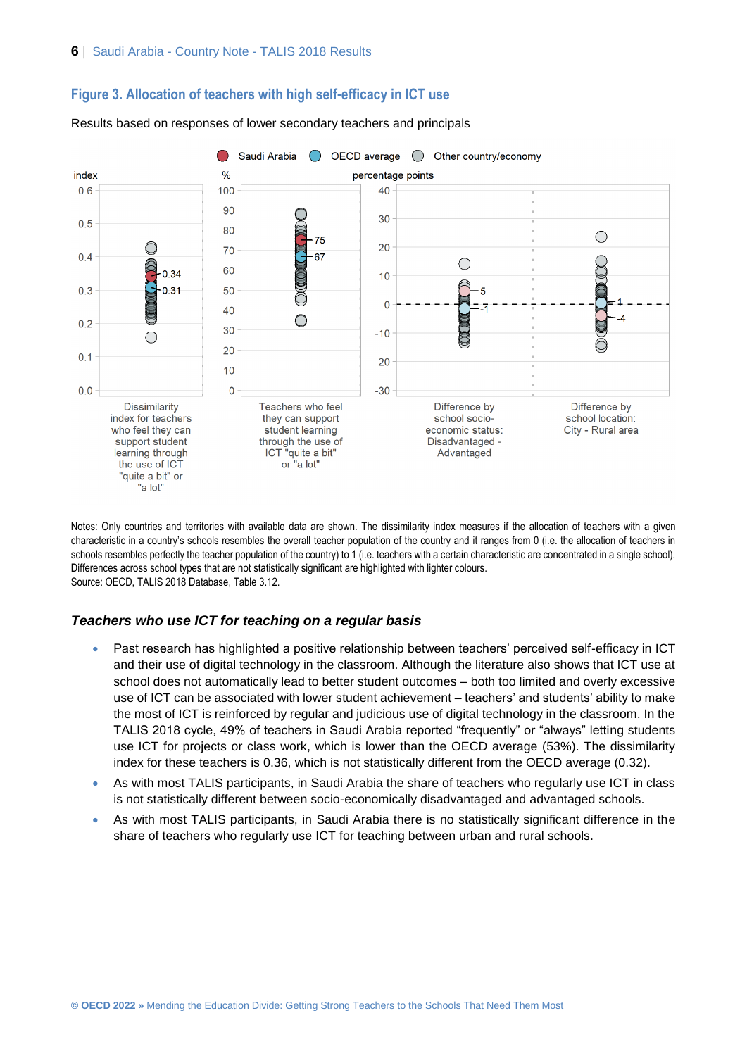



Results based on responses of lower secondary teachers and principals

Notes: Only countries and territories with available data are shown. The dissimilarity index measures if the allocation of teachers with a given characteristic in a country's schools resembles the overall teacher population of the country and it ranges from 0 (i.e. the allocation of teachers in schools resembles perfectly the teacher population of the country) to 1 (i.e. teachers with a certain characteristic are concentrated in a single school). Differences across school types that are not statistically significant are highlighted with lighter colours. Source: OECD, TALIS 2018 Database, Table 3.12.

### *Teachers who use ICT for teaching on a regular basis*

- Past research has highlighted a positive relationship between teachers' perceived self-efficacy in ICT and their use of digital technology in the classroom. Although the literature also shows that ICT use at school does not automatically lead to better student outcomes – both too limited and overly excessive use of ICT can be associated with lower student achievement – teachers' and students' ability to make the most of ICT is reinforced by regular and judicious use of digital technology in the classroom. In the TALIS 2018 cycle, 49% of teachers in Saudi Arabia reported "frequently" or "always" letting students use ICT for projects or class work, which is lower than the OECD average (53%). The dissimilarity index for these teachers is 0.36, which is not statistically different from the OECD average (0.32).
- As with most TALIS participants, in Saudi Arabia the share of teachers who regularly use ICT in class is not statistically different between socio-economically disadvantaged and advantaged schools.
- As with most TALIS participants, in Saudi Arabia there is no statistically significant difference in the share of teachers who regularly use ICT for teaching between urban and rural schools.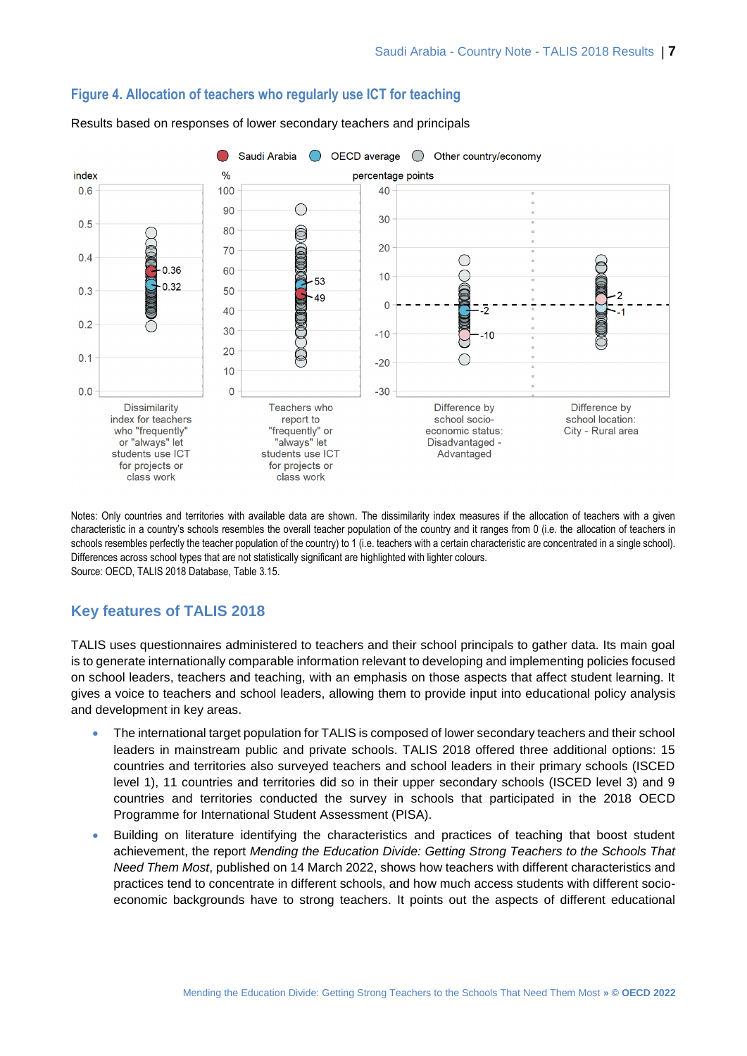

## **Figure 4. Allocation of teachers who regularly use ICT for teaching**

Results based on responses of lower secondary teachers and principals

Notes: Only countries and territories with available data are shown. The dissimilarity index measures if the allocation of teachers with a given characteristic in a country's schools resembles the overall teacher population of the country and it ranges from 0 (i.e. the allocation of teachers in schools resembles perfectly the teacher population of the country) to 1 (i.e. teachers with a certain characteristic are concentrated in a single school). Differences across school types that are not statistically significant are highlighted with lighter colours. Source: OECD, TALIS 2018 Database, Table 3.15.

# **Key features of TALIS 2018**

TALIS uses questionnaires administered to teachers and their school principals to gather data. Its main goal is to generate internationally comparable information relevant to developing and implementing policies focused on school leaders, teachers and teaching, with an emphasis on those aspects that affect student learning. It gives a voice to teachers and school leaders, allowing them to provide input into educational policy analysis and development in key areas.

- The international target population for TALIS is composed of lower secondary teachers and their school leaders in mainstream public and private schools. TALIS 2018 offered three additional options: 15 countries and territories also surveyed teachers and school leaders in their primary schools (ISCED level 1), 11 countries and territories did so in their upper secondary schools (ISCED level 3) and 9 countries and territories conducted the survey in schools that participated in the 2018 OECD Programme for International Student Assessment (PISA).
- Building on literature identifying the characteristics and practices of teaching that boost student achievement, the report *Mending the Education Divide: Getting Strong Teachers to the Schools That Need Them Most*, published on 14 March 2022, shows how teachers with different characteristics and practices tend to concentrate in different schools, and how much access students with different socioeconomic backgrounds have to strong teachers. It points out the aspects of different educational